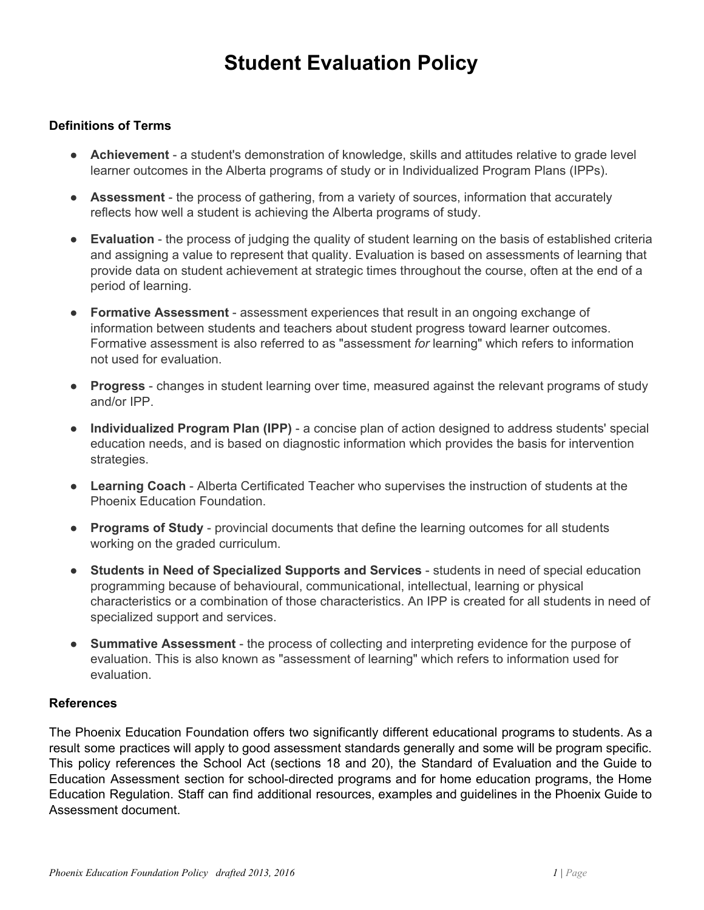# **Student Evaluation Policy**

### **Definitions of Terms**

- **Achievement** a student's demonstration of knowledge, skills and attitudes relative to grade level learner outcomes in the Alberta programs of study or in Individualized Program Plans (IPPs).
- **Assessment** the process of gathering, from a variety of sources, information that accurately reflects how well a student is achieving the Alberta programs of study.
- **Evaluation** the process of judging the quality of student learning on the basis of established criteria and assigning a value to represent that quality. Evaluation is based on assessments of learning that provide data on student achievement at strategic times throughout the course, often at the end of a period of learning.
- **Formative Assessment** assessment experiences that result in an ongoing exchange of information between students and teachers about student progress toward learner outcomes. Formative assessment is also referred to as "assessment *for* learning" which refers to information not used for evaluation.
- **Progress** changes in student learning over time, measured against the relevant programs of study and/or IPP.
- **Individualized Program Plan (IPP)** a concise plan of action designed to address students' special education needs, and is based on diagnostic information which provides the basis for intervention strategies.
- **Learning Coach**  Alberta Certificated Teacher who supervises the instruction of students at the Phoenix Education Foundation.
- **Programs of Study** provincial documents that define the learning outcomes for all students working on the graded curriculum.
- **•** Students in Need of Specialized Supports and Services students in need of special education programming because of behavioural, communicational, intellectual, learning or physical characteristics or a combination of those characteristics. An IPP is created for all students in need of specialized support and services.
- **Summative Assessment** the process of collecting and interpreting evidence for the purpose of evaluation. This is also known as "assessment of learning" which refers to information used for evaluation.

#### **References**

The Phoenix Education Foundation offers two significantly different educational programs to students. As a result some practices will apply to good assessment standards generally and some will be program specific. This policy references the School Act (sections 18 and 20), the Standard of Evaluation and the Guide to Education Assessment section for school-directed programs and for home education programs, the Home Education Regulation. Staff can find additional resources, examples and guidelines in the Phoenix Guide to Assessment document.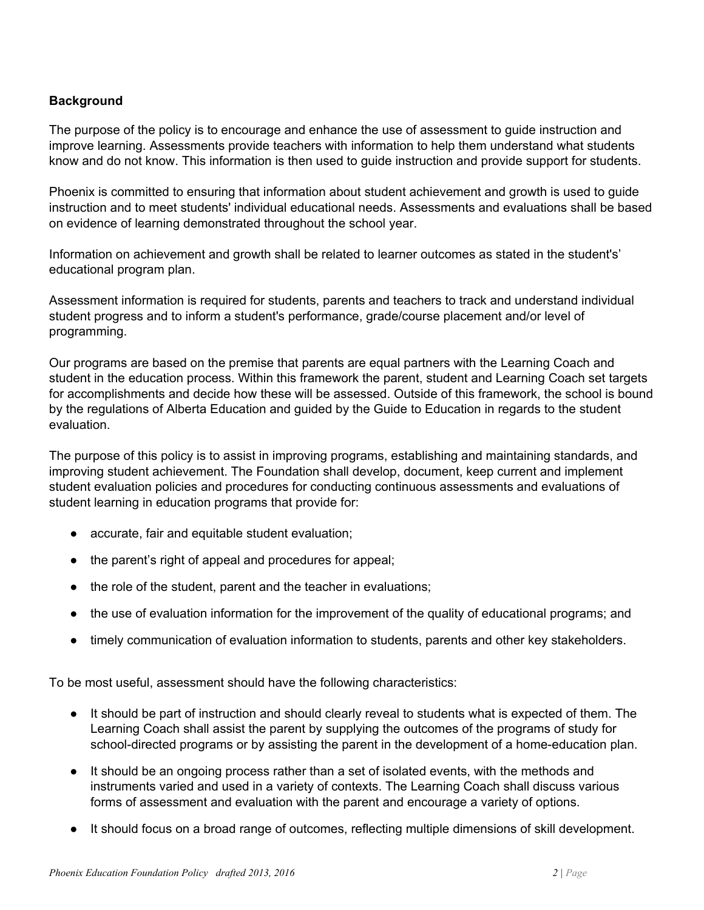### **Background**

The purpose of the policy is to encourage and enhance the use of assessment to guide instruction and improve learning. Assessments provide teachers with information to help them understand what students know and do not know. This information is then used to guide instruction and provide support for students.

Phoenix is committed to ensuring that information about student achievement and growth is used to guide instruction and to meet students' individual educational needs. Assessments and evaluations shall be based on evidence of learning demonstrated throughout the school year.

Information on achievement and growth shall be related to learner outcomes as stated in the student's' educational program plan.

Assessment information is required for students, parents and teachers to track and understand individual student progress and to inform a student's performance, grade/course placement and/or level of programming.

Our programs are based on the premise that parents are equal partners with the Learning Coach and student in the education process. Within this framework the parent, student and Learning Coach set targets for accomplishments and decide how these will be assessed. Outside of this framework, the school is bound by the regulations of Alberta Education and guided by the Guide to Education in regards to the student evaluation.

The purpose of this policy is to assist in improving programs, establishing and maintaining standards, and improving student achievement. The Foundation shall develop, document, keep current and implement student evaluation policies and procedures for conducting continuous assessments and evaluations of student learning in education programs that provide for:

- accurate, fair and equitable student evaluation;
- the parent's right of appeal and procedures for appeal;
- the role of the student, parent and the teacher in evaluations;
- the use of evaluation information for the improvement of the quality of educational programs; and
- timely communication of evaluation information to students, parents and other key stakeholders.

To be most useful, assessment should have the following characteristics:

- It should be part of instruction and should clearly reveal to students what is expected of them. The Learning Coach shall assist the parent by supplying the outcomes of the programs of study for school-directed programs or by assisting the parent in the development of a home-education plan.
- It should be an ongoing process rather than a set of isolated events, with the methods and instruments varied and used in a variety of contexts. The Learning Coach shall discuss various forms of assessment and evaluation with the parent and encourage a variety of options.
- It should focus on a broad range of outcomes, reflecting multiple dimensions of skill development.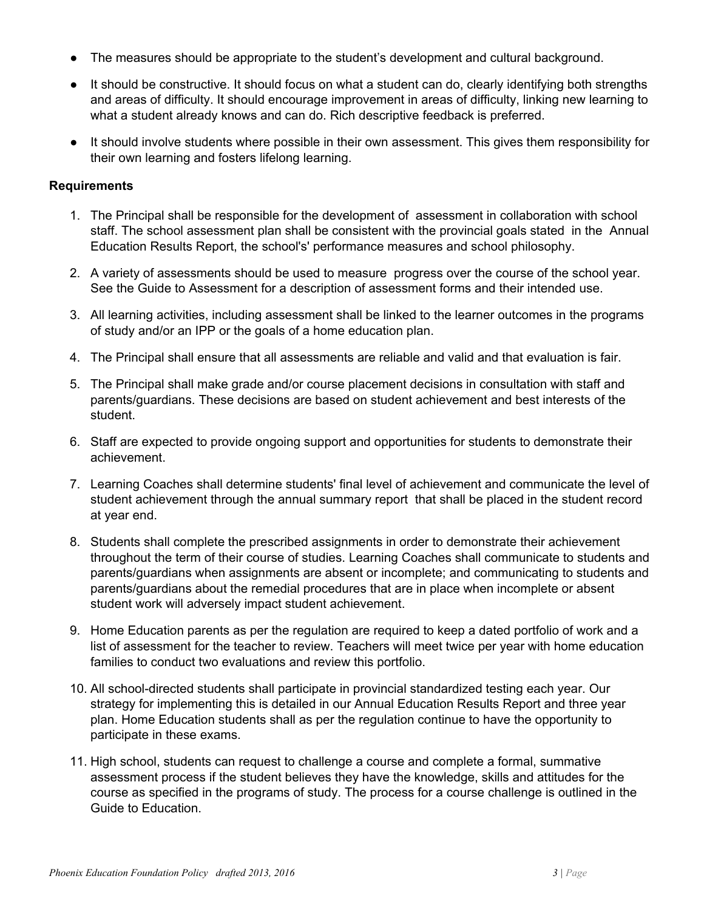- The measures should be appropriate to the student's development and cultural background.
- It should be constructive. It should focus on what a student can do, clearly identifying both strengths and areas of difficulty. It should encourage improvement in areas of difficulty, linking new learning to what a student already knows and can do. Rich descriptive feedback is preferred.
- It should involve students where possible in their own assessment. This gives them responsibility for their own learning and fosters lifelong learning.

## **Requirements**

- 1. The Principal shall be responsible for the development of assessment in collaboration with school staff. The school assessment plan shall be consistent with the provincial goals stated in the Annual Education Results Report, the school's' performance measures and school philosophy.
- 2. A variety of assessments should be used to measure progress over the course of the school year. See the Guide to Assessment for a description of assessment forms and their intended use.
- 3. All learning activities, including assessment shall be linked to the learner outcomes in the programs of study and/or an IPP or the goals of a home education plan.
- 4. The Principal shall ensure that all assessments are reliable and valid and that evaluation is fair.
- 5. The Principal shall make grade and/or course placement decisions in consultation with staff and parents/guardians. These decisions are based on student achievement and best interests of the student.
- 6. Staff are expected to provide ongoing support and opportunities for students to demonstrate their achievement.
- 7. Learning Coaches shall determine students' final level of achievement and communicate the level of student achievement through the annual summary report that shall be placed in the student record at year end.
- 8. Students shall complete the prescribed assignments in order to demonstrate their achievement throughout the term of their course of studies. Learning Coaches shall communicate to students and parents/guardians when assignments are absent or incomplete; and communicating to students and parents/guardians about the remedial procedures that are in place when incomplete or absent student work will adversely impact student achievement.
- 9. Home Education parents as per the regulation are required to keep a dated portfolio of work and a list of assessment for the teacher to review. Teachers will meet twice per year with home education families to conduct two evaluations and review this portfolio.
- 10. All school-directed students shall participate in provincial standardized testing each year. Our strategy for implementing this is detailed in our Annual Education Results Report and three year plan. Home Education students shall as per the regulation continue to have the opportunity to participate in these exams.
- 11. High school, students can request to challenge a course and complete a formal, summative assessment process if the student believes they have the knowledge, skills and attitudes for the course as specified in the programs of study. The process for a course challenge is outlined in the Guide to Education.